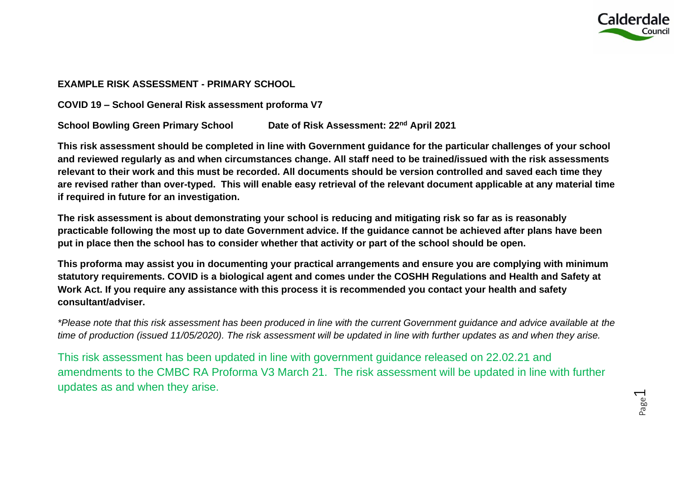

## **EXAMPLE RISK ASSESSMENT - PRIMARY SCHOOL**

**COVID 19 – School General Risk assessment proforma V7**

**School Bowling Green Primary School Date of Risk Assessment: 22nd April 2021**

**This risk assessment should be completed in line with Government guidance for the particular challenges of your school and reviewed regularly as and when circumstances change. All staff need to be trained/issued with the risk assessments relevant to their work and this must be recorded. All documents should be version controlled and saved each time they are revised rather than over-typed. This will enable easy retrieval of the relevant document applicable at any material time if required in future for an investigation.**

**The risk assessment is about demonstrating your school is reducing and mitigating risk so far as is reasonably practicable following the most up to date Government advice. If the guidance cannot be achieved after plans have been put in place then the school has to consider whether that activity or part of the school should be open.** 

**This proforma may assist you in documenting your practical arrangements and ensure you are complying with minimum statutory requirements. COVID is a biological agent and comes under the COSHH Regulations and Health and Safety at Work Act. If you require any assistance with this process it is recommended you contact your health and safety consultant/adviser.**

*\*Please note that this risk assessment has been produced in line with the current Government guidance and advice available at the time of production (issued 11/05/2020). The risk assessment will be updated in line with further updates as and when they arise.* 

This risk assessment has been updated in line with government guidance released on 22.02.21 and amendments to the CMBC RA Proforma V3 March 21. The risk assessment will be updated in line with further updates as and when they arise.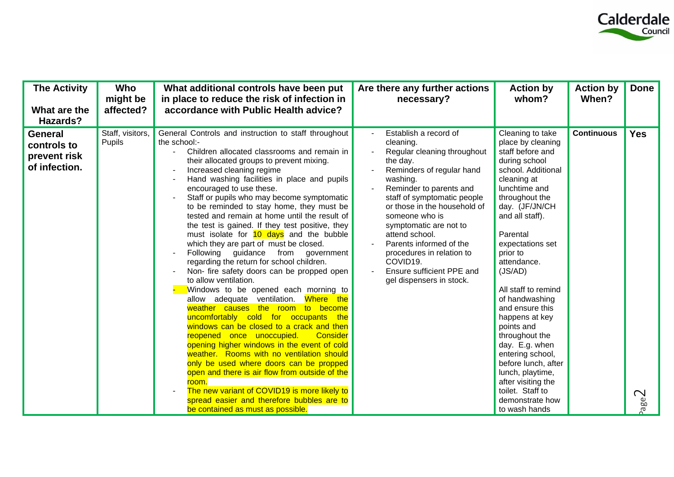

| <b>The Activity</b><br>What are the<br>Hazards?         | Who<br>might be<br>affected? | What additional controls have been put<br>in place to reduce the risk of infection in<br>accordance with Public Health advice?                                                                                                                                                                                                                                                                                                                                                                                                                                                                                                                                                                                                                                                                                                                                                                                                                                                                                                                                                                                                                                                                                                                                                                                           | Are there any further actions<br>necessary?                                                                                                                                                                                                                                                                                                                                                                              | <b>Action by</b><br>whom?                                                                                                                                                                                                                                                                                                                                                                                                                                                                                                                  | <b>Action by</b><br>When? | <b>Done</b>               |
|---------------------------------------------------------|------------------------------|--------------------------------------------------------------------------------------------------------------------------------------------------------------------------------------------------------------------------------------------------------------------------------------------------------------------------------------------------------------------------------------------------------------------------------------------------------------------------------------------------------------------------------------------------------------------------------------------------------------------------------------------------------------------------------------------------------------------------------------------------------------------------------------------------------------------------------------------------------------------------------------------------------------------------------------------------------------------------------------------------------------------------------------------------------------------------------------------------------------------------------------------------------------------------------------------------------------------------------------------------------------------------------------------------------------------------|--------------------------------------------------------------------------------------------------------------------------------------------------------------------------------------------------------------------------------------------------------------------------------------------------------------------------------------------------------------------------------------------------------------------------|--------------------------------------------------------------------------------------------------------------------------------------------------------------------------------------------------------------------------------------------------------------------------------------------------------------------------------------------------------------------------------------------------------------------------------------------------------------------------------------------------------------------------------------------|---------------------------|---------------------------|
| General<br>controls to<br>prevent risk<br>of infection. | Staff, visitors,<br>Pupils   | General Controls and instruction to staff throughout<br>the school:-<br>Children allocated classrooms and remain in<br>their allocated groups to prevent mixing.<br>Increased cleaning regime<br>Hand washing facilities in place and pupils<br>encouraged to use these.<br>Staff or pupils who may become symptomatic<br>to be reminded to stay home, they must be<br>tested and remain at home until the result of<br>the test is gained. If they test positive, they<br>must isolate for 10 days and the bubble<br>which they are part of must be closed.<br>Following guidance<br>from<br>government<br>regarding the return for school children.<br>Non- fire safety doors can be propped open<br>to allow ventilation.<br>Windows to be opened each morning to<br>Where the<br>allow adequate ventilation.<br>weather causes the room to become<br>uncomfortably cold for occupants the<br>windows can be closed to a crack and then<br>reopened once unoccupied.<br>Consider<br>opening higher windows in the event of cold<br>weather. Rooms with no ventilation should<br>only be used where doors can be propped<br>open and there is air flow from outside of the<br>room.<br>The new variant of COVID19 is more likely to<br>spread easier and therefore bubbles are to<br>be contained as must as possible. | Establish a record of<br>cleaning.<br>Regular cleaning throughout<br>the day.<br>Reminders of regular hand<br>washing.<br>Reminder to parents and<br>staff of symptomatic people<br>or those in the household of<br>someone who is<br>symptomatic are not to<br>attend school.<br>Parents informed of the<br>procedures in relation to<br>COVID <sub>19</sub> .<br>Ensure sufficient PPE and<br>gel dispensers in stock. | Cleaning to take<br>place by cleaning<br>staff before and<br>during school<br>school. Additional<br>cleaning at<br>lunchtime and<br>throughout the<br>day. (JF/JN/CH<br>and all staff).<br>Parental<br>expectations set<br>prior to<br>attendance.<br>(JS/AD)<br>All staff to remind<br>of handwashing<br>and ensure this<br>happens at key<br>points and<br>throughout the<br>day. E.g. when<br>entering school,<br>before lunch, after<br>lunch, playtime,<br>after visiting the<br>toilet. Staff to<br>demonstrate how<br>to wash hands | <b>Continuous</b>         | <b>Yes</b><br><b>Zage</b> |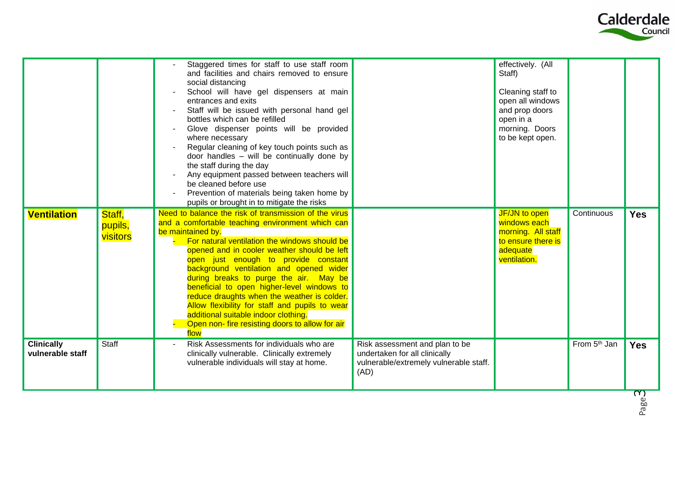

|                                       |                               | Staggered times for staff to use staff room<br>and facilities and chairs removed to ensure<br>social distancing<br>School will have gel dispensers at main<br>entrances and exits<br>Staff will be issued with personal hand gel<br>bottles which can be refilled<br>Glove dispenser points will be provided<br>where necessary<br>Regular cleaning of key touch points such as<br>door handles - will be continually done by<br>the staff during the day<br>Any equipment passed between teachers will<br>be cleaned before use<br>Prevention of materials being taken home by<br>pupils or brought in to mitigate the risks |                                                                                                                   | effectively. (All<br>Staff)<br>Cleaning staff to<br>open all windows<br>and prop doors<br>open in a<br>morning. Doors<br>to be kept open. |                          |                                       |
|---------------------------------------|-------------------------------|-------------------------------------------------------------------------------------------------------------------------------------------------------------------------------------------------------------------------------------------------------------------------------------------------------------------------------------------------------------------------------------------------------------------------------------------------------------------------------------------------------------------------------------------------------------------------------------------------------------------------------|-------------------------------------------------------------------------------------------------------------------|-------------------------------------------------------------------------------------------------------------------------------------------|--------------------------|---------------------------------------|
| <b>Ventilation</b>                    | Staff,<br>pupils,<br>visitors | Need to balance the risk of transmission of the virus<br>and a comfortable teaching environment which can<br>be maintained by.<br>For natural ventilation the windows should be<br>opened and in cooler weather should be left<br>open just enough to provide constant<br>background ventilation and opened wider<br>during breaks to purge the air. May be<br>beneficial to open higher-level windows to<br>reduce draughts when the weather is colder.<br>Allow flexibility for staff and pupils to wear<br>additional suitable indoor clothing.<br>Open non- fire resisting doors to allow for air<br>flow                 |                                                                                                                   | JF/JN to open<br>windows each<br>morning. All staff<br>to ensure there is<br>adequate<br>ventilation.                                     | Continuous               | <b>Yes</b>                            |
| <b>Clinically</b><br>vulnerable staff | <b>Staff</b>                  | Risk Assessments for individuals who are<br>clinically vulnerable. Clinically extremely<br>vulnerable individuals will stay at home.                                                                                                                                                                                                                                                                                                                                                                                                                                                                                          | Risk assessment and plan to be<br>undertaken for all clinically<br>vulnerable/extremely vulnerable staff.<br>(AD) |                                                                                                                                           | From 5 <sup>th</sup> Jan | <b>Yes</b><br>$\overline{\mathbf{C}}$ |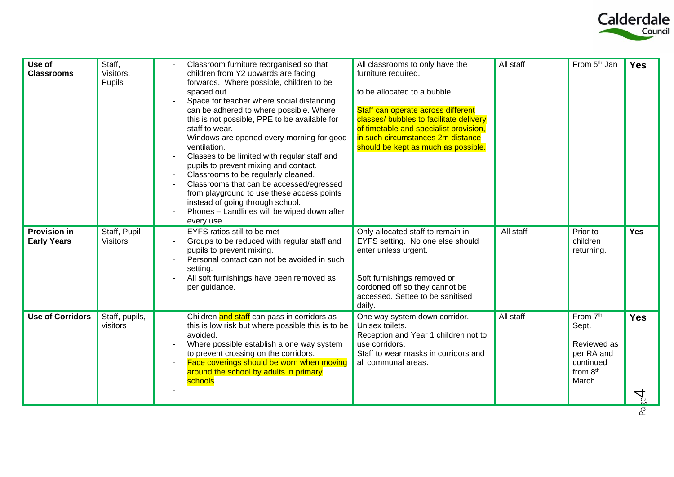

| Use of<br><b>Classrooms</b>               | Staff,<br>Visitors,<br>Pupils   | All classrooms to only have the<br>Classroom furniture reorganised so that<br>children from Y2 upwards are facing<br>furniture required.<br>forwards. Where possible, children to be<br>spaced out.<br>to be allocated to a bubble.<br>Space for teacher where social distancing<br>Staff can operate across different<br>can be adhered to where possible. Where<br>classes/ bubbles to facilitate delivery<br>this is not possible, PPE to be available for<br>of timetable and specialist provision,<br>staff to wear.<br>Windows are opened every morning for good<br>in such circumstances 2m distance<br>should be kept as much as possible.<br>ventilation.<br>Classes to be limited with regular staff and<br>pupils to prevent mixing and contact.<br>Classrooms to be regularly cleaned.<br>Classrooms that can be accessed/egressed<br>from playground to use these access points<br>instead of going through school.<br>Phones - Landlines will be wiped down after<br>every use. | All staff | From 5 <sup>th</sup> Jan                                                          | <b>Yes</b>      |
|-------------------------------------------|---------------------------------|-----------------------------------------------------------------------------------------------------------------------------------------------------------------------------------------------------------------------------------------------------------------------------------------------------------------------------------------------------------------------------------------------------------------------------------------------------------------------------------------------------------------------------------------------------------------------------------------------------------------------------------------------------------------------------------------------------------------------------------------------------------------------------------------------------------------------------------------------------------------------------------------------------------------------------------------------------------------------------------------------|-----------|-----------------------------------------------------------------------------------|-----------------|
| <b>Provision in</b><br><b>Early Years</b> | Staff, Pupil<br><b>Visitors</b> | EYFS ratios still to be met<br>Only allocated staff to remain in<br>Groups to be reduced with regular staff and<br>EYFS setting. No one else should<br>pupils to prevent mixing.<br>enter unless urgent.<br>Personal contact can not be avoided in such<br>setting.<br>All soft furnishings have been removed as<br>Soft furnishings removed or<br>cordoned off so they cannot be<br>per guidance.<br>accessed. Settee to be sanitised<br>daily.                                                                                                                                                                                                                                                                                                                                                                                                                                                                                                                                              | All staff | Prior to<br>children<br>returning.                                                | <b>Yes</b>      |
| <b>Use of Corridors</b>                   | Staff, pupils,<br>visitors      | Children and staff can pass in corridors as<br>One way system down corridor.<br>this is low risk but where possible this is to be<br>Unisex toilets.<br>avoided.<br>Reception and Year 1 children not to<br>Where possible establish a one way system<br>use corridors.<br>Staff to wear masks in corridors and<br>to prevent crossing on the corridors.<br>Face coverings should be worn when moving<br>all communal areas.<br>around the school by adults in primary<br>schools                                                                                                                                                                                                                                                                                                                                                                                                                                                                                                             | All staff | From 7th<br>Sept.<br>Reviewed as<br>per RA and<br>continued<br>from 8th<br>March. | <b>Yes</b><br>4 |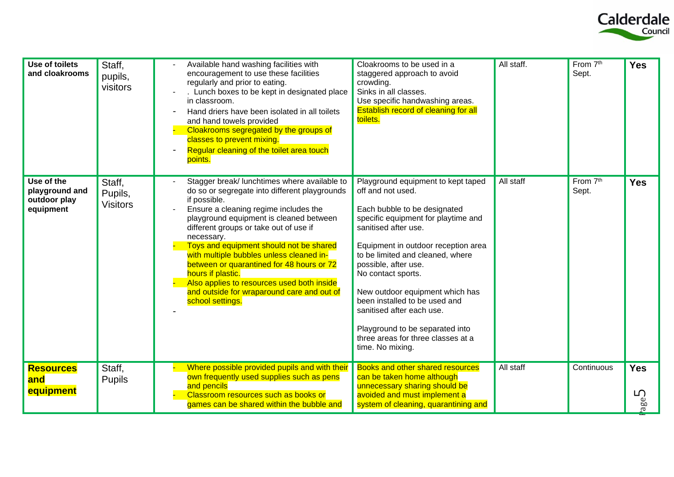

| Use of toilets<br>and cloakrooms                          | Staff,<br>pupils,<br>visitors        | Available hand washing facilities with<br>encouragement to use these facilities<br>regularly and prior to eating.<br>. Lunch boxes to be kept in designated place<br>in classroom.<br>Hand driers have been isolated in all toilets<br>and hand towels provided<br>Cloakrooms segregated by the groups of<br>classes to prevent mixing.<br>Regular cleaning of the toilet area touch<br>points.                                                                                                                                    | Cloakrooms to be used in a<br>staggered approach to avoid<br>crowding.<br>Sinks in all classes.<br>Use specific handwashing areas.<br>Establish record of cleaning for all<br>toilets.                                                                                                                                                                                                                                                                                        | All staff. | From 7 <sup>th</sup><br>Sept. | <b>Yes</b>             |
|-----------------------------------------------------------|--------------------------------------|------------------------------------------------------------------------------------------------------------------------------------------------------------------------------------------------------------------------------------------------------------------------------------------------------------------------------------------------------------------------------------------------------------------------------------------------------------------------------------------------------------------------------------|-------------------------------------------------------------------------------------------------------------------------------------------------------------------------------------------------------------------------------------------------------------------------------------------------------------------------------------------------------------------------------------------------------------------------------------------------------------------------------|------------|-------------------------------|------------------------|
| Use of the<br>playground and<br>outdoor play<br>equipment | Staff.<br>Pupils,<br><b>Visitors</b> | Stagger break/ lunchtimes where available to<br>do so or segregate into different playgrounds<br>if possible.<br>Ensure a cleaning regime includes the<br>playground equipment is cleaned between<br>different groups or take out of use if<br>necessary.<br>Toys and equipment should not be shared<br>with multiple bubbles unless cleaned in-<br>between or quarantined for 48 hours or 72<br>hours if plastic.<br>Also applies to resources used both inside<br>and outside for wraparound care and out of<br>school settings. | Playground equipment to kept taped<br>off and not used.<br>Each bubble to be designated<br>specific equipment for playtime and<br>sanitised after use.<br>Equipment in outdoor reception area<br>to be limited and cleaned, where<br>possible, after use.<br>No contact sports.<br>New outdoor equipment which has<br>been installed to be used and<br>sanitised after each use.<br>Playground to be separated into<br>three areas for three classes at a<br>time. No mixing. | All staff  | From 7 <sup>th</sup><br>Sept. | <b>Yes</b>             |
| <b>Resources</b><br>and<br>equipment                      | Staff,<br><b>Pupils</b>              | Where possible provided pupils and with their<br>own frequently used supplies such as pens<br>and pencils<br>Classroom resources such as books or<br>games can be shared within the bubble and                                                                                                                                                                                                                                                                                                                                     | <b>Books and other shared resources</b><br>can be taken home although<br>unnecessary sharing should be<br>avoided and must implement a<br>system of cleaning, quarantining and                                                                                                                                                                                                                                                                                                | All staff  | Continuous                    | <b>Yes</b><br>ம<br>age |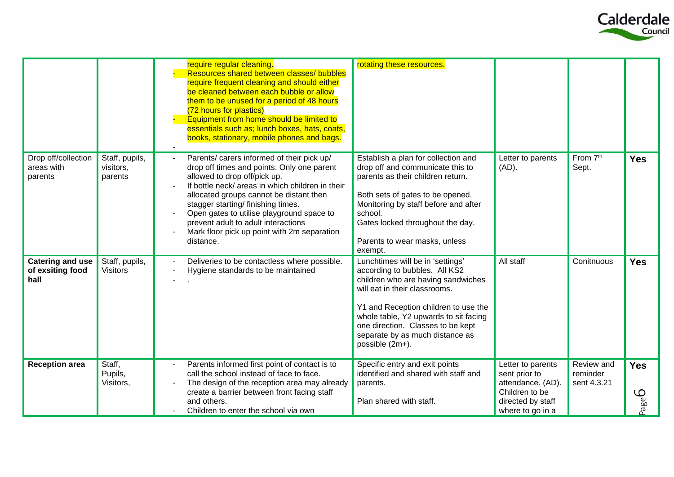

|                                                     |                                        | require regular cleaning.<br>Resources shared between classes/ bubbles<br>require frequent cleaning and should either<br>be cleaned between each bubble or allow<br>them to be unused for a period of 48 hours<br>(72 hours for plastics)<br>Equipment from home should be limited to<br>essentials such as; lunch boxes, hats, coats,<br>books, stationary, mobile phones and bags.                          | rotating these resources.                                                                                                                                                                                                                                                                                            |                                                                                                                    |                                       |                                    |
|-----------------------------------------------------|----------------------------------------|---------------------------------------------------------------------------------------------------------------------------------------------------------------------------------------------------------------------------------------------------------------------------------------------------------------------------------------------------------------------------------------------------------------|----------------------------------------------------------------------------------------------------------------------------------------------------------------------------------------------------------------------------------------------------------------------------------------------------------------------|--------------------------------------------------------------------------------------------------------------------|---------------------------------------|------------------------------------|
| Drop off/collection<br>areas with<br>parents        | Staff, pupils,<br>visitors,<br>parents | Parents/ carers informed of their pick up/<br>drop off times and points. Only one parent<br>allowed to drop off/pick up.<br>If bottle neck/ areas in which children in their<br>allocated groups cannot be distant then<br>stagger starting/ finishing times.<br>Open gates to utilise playground space to<br>prevent adult to adult interactions<br>Mark floor pick up point with 2m separation<br>distance. | Establish a plan for collection and<br>drop off and communicate this to<br>parents as their children return.<br>Both sets of gates to be opened.<br>Monitoring by staff before and after<br>school.<br>Gates locked throughout the day.<br>Parents to wear masks, unless<br>exempt.                                  | Letter to parents<br>$(AD)$ .                                                                                      | From 7th<br>Sept.                     | <b>Yes</b>                         |
| <b>Catering and use</b><br>of exsiting food<br>hall | Staff, pupils,<br><b>Visitors</b>      | Deliveries to be contactless where possible.<br>Hygiene standards to be maintained                                                                                                                                                                                                                                                                                                                            | Lunchtimes will be in 'settings'<br>according to bubbles. All KS2<br>children who are having sandwiches<br>will eat in their classrooms.<br>Y1 and Reception children to use the<br>whole table, Y2 upwards to sit facing<br>one direction. Classes to be kept<br>separate by as much distance as<br>possible (2m+). | All staff                                                                                                          | Conitnuous                            | <b>Yes</b>                         |
| <b>Reception area</b>                               | Staff,<br>Pupils,<br>Visitors,         | Parents informed first point of contact is to<br>call the school instead of face to face.<br>The design of the reception area may already<br>create a barrier between front facing staff<br>and others.<br>Children to enter the school via own                                                                                                                                                               | Specific entry and exit points<br>identified and shared with staff and<br>parents.<br>Plan shared with staff.                                                                                                                                                                                                        | Letter to parents<br>sent prior to<br>attendance. (AD).<br>Children to be<br>directed by staff<br>where to go in a | Review and<br>reminder<br>sent 4.3.21 | <b>Yes</b><br>$\mathcal{Q}$<br>age |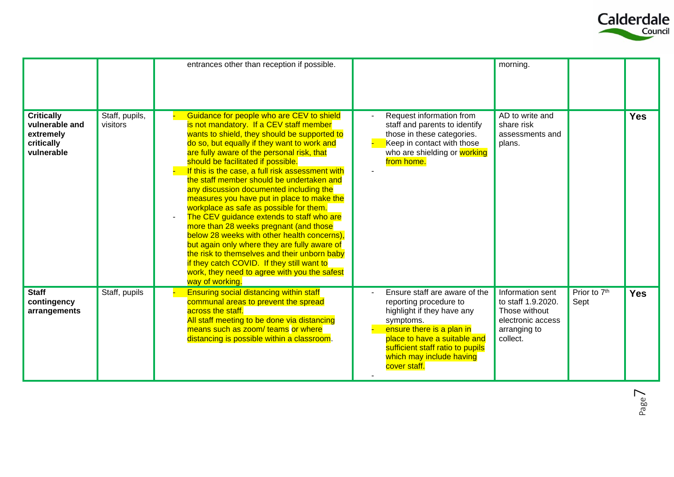

|                                                                              |                            | entrances other than reception if possible.                                                                                                                                                                                                                                                                                                                                                                                                                                                                                                                                                                                                                                                                                                                                                                                                                         |                                                                                                                                                                                                                                                 | morning.                                                                                                 |                      |            |
|------------------------------------------------------------------------------|----------------------------|---------------------------------------------------------------------------------------------------------------------------------------------------------------------------------------------------------------------------------------------------------------------------------------------------------------------------------------------------------------------------------------------------------------------------------------------------------------------------------------------------------------------------------------------------------------------------------------------------------------------------------------------------------------------------------------------------------------------------------------------------------------------------------------------------------------------------------------------------------------------|-------------------------------------------------------------------------------------------------------------------------------------------------------------------------------------------------------------------------------------------------|----------------------------------------------------------------------------------------------------------|----------------------|------------|
| <b>Critically</b><br>vulnerable and<br>extremely<br>critically<br>vulnerable | Staff, pupils,<br>visitors | Guidance for people who are CEV to shield<br>is not mandatory. If a CEV staff member<br>wants to shield, they should be supported to<br>do so, but equally if they want to work and<br>are fully aware of the personal risk, that<br>should be facilitated if possible.<br>If this is the case, a full risk assessment with<br>the staff member should be undertaken and<br>any discussion documented including the<br>measures you have put in place to make the<br>workplace as safe as possible for them.<br>The CEV guidance extends to staff who are<br>more than 28 weeks pregnant (and those<br>below 28 weeks with other health concerns),<br>but again only where they are fully aware of<br>the risk to themselves and their unborn baby<br>if they catch COVID. If they still want to<br>work, they need to agree with you the safest<br>way of working. | Request information from<br>staff and parents to identify<br>those in these categories.<br>Keep in contact with those<br>who are shielding or working<br>from home.                                                                             | AD to write and<br>share risk<br>assessments and<br>plans.                                               |                      | <b>Yes</b> |
| <b>Staff</b><br>contingency<br>arrangements                                  | Staff, pupils              | <b>Ensuring social distancing within staff</b><br>communal areas to prevent the spread<br>across the staff.<br>All staff meeting to be done via distancing<br>means such as zoom/ teams or where<br>distancing is possible within a classroom.                                                                                                                                                                                                                                                                                                                                                                                                                                                                                                                                                                                                                      | Ensure staff are aware of the<br>reporting procedure to<br>highlight if they have any<br>symptoms.<br>ensure there is a plan in<br>place to have a suitable and<br>sufficient staff ratio to pupils<br>which may include having<br>cover staff. | Information sent<br>to staff 1.9.2020.<br>Those without<br>electronic access<br>arranging to<br>collect. | Prior to 7th<br>Sept | <b>Yes</b> |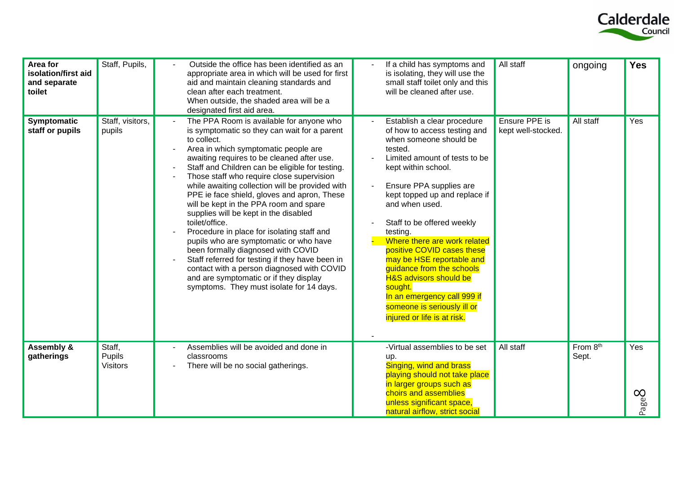

| Area for<br>isolation/first aid<br>and separate<br>toilet | Staff, Pupils,                             | Outside the office has been identified as an<br>appropriate area in which will be used for first<br>aid and maintain cleaning standards and<br>clean after each treatment.<br>When outside, the shaded area will be a<br>designated first aid area.                                                                                                                                                                                                                                                                                                                                                                                                                                                                                                                                                                       | If a child has symptoms and<br>is isolating, they will use the<br>small staff toilet only and this<br>will be cleaned after use.                                                                                                                                                                                                                                                                                                                                                                                                                      | All staff                           | ongoing           | <b>Yes</b>               |
|-----------------------------------------------------------|--------------------------------------------|---------------------------------------------------------------------------------------------------------------------------------------------------------------------------------------------------------------------------------------------------------------------------------------------------------------------------------------------------------------------------------------------------------------------------------------------------------------------------------------------------------------------------------------------------------------------------------------------------------------------------------------------------------------------------------------------------------------------------------------------------------------------------------------------------------------------------|-------------------------------------------------------------------------------------------------------------------------------------------------------------------------------------------------------------------------------------------------------------------------------------------------------------------------------------------------------------------------------------------------------------------------------------------------------------------------------------------------------------------------------------------------------|-------------------------------------|-------------------|--------------------------|
| Symptomatic<br>staff or pupils                            | Staff, visitors,<br>pupils                 | The PPA Room is available for anyone who<br>is symptomatic so they can wait for a parent<br>to collect.<br>Area in which symptomatic people are<br>awaiting requires to be cleaned after use.<br>Staff and Children can be eligible for testing.<br>Those staff who require close supervision<br>while awaiting collection will be provided with<br>PPE ie face shield, gloves and apron, These<br>will be kept in the PPA room and spare<br>supplies will be kept in the disabled<br>toilet/office.<br>Procedure in place for isolating staff and<br>pupils who are symptomatic or who have<br>been formally diagnosed with COVID<br>Staff referred for testing if they have been in<br>contact with a person diagnosed with COVID<br>and are symptomatic or if they display<br>symptoms. They must isolate for 14 days. | Establish a clear procedure<br>of how to access testing and<br>when someone should be<br>tested.<br>Limited amount of tests to be<br>kept within school.<br>Ensure PPA supplies are<br>kept topped up and replace if<br>and when used.<br>Staff to be offered weekly<br>testing.<br>Where there are work related<br>positive COVID cases these<br>may be HSE reportable and<br>guidance from the schools<br><b>H&amp;S advisors should be</b><br>sought.<br>In an emergency call 999 if<br>someone is seriously ill or<br>injured or life is at risk. | Ensure PPE is<br>kept well-stocked. | All staff         | Yes                      |
| <b>Assembly &amp;</b><br>gatherings                       | Staff,<br><b>Pupils</b><br><b>Visitors</b> | Assemblies will be avoided and done in<br>classrooms<br>There will be no social gatherings.                                                                                                                                                                                                                                                                                                                                                                                                                                                                                                                                                                                                                                                                                                                               | -Virtual assemblies to be set<br>up.<br>Singing, wind and brass<br>playing should not take place<br>in larger groups such as<br>choirs and assemblies<br>unless significant space,<br>natural airflow, strict social                                                                                                                                                                                                                                                                                                                                  | All staff                           | From 8th<br>Sept. | Yes<br>Page <sup>2</sup> |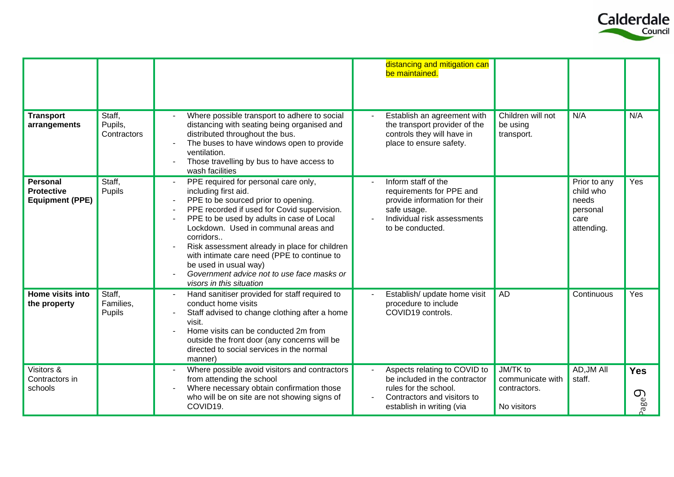

|                                                                |                                  |                                                                                                                                                                                                                                                                                                                                                                                                                                                         | distancing and mitigation can<br>be maintained.                                                                                                    |                                                             |                                                                      |                                 |
|----------------------------------------------------------------|----------------------------------|---------------------------------------------------------------------------------------------------------------------------------------------------------------------------------------------------------------------------------------------------------------------------------------------------------------------------------------------------------------------------------------------------------------------------------------------------------|----------------------------------------------------------------------------------------------------------------------------------------------------|-------------------------------------------------------------|----------------------------------------------------------------------|---------------------------------|
| <b>Transport</b><br>arrangements                               | Staff,<br>Pupils,<br>Contractors | Where possible transport to adhere to social<br>distancing with seating being organised and<br>distributed throughout the bus.<br>The buses to have windows open to provide<br>ventilation.<br>Those travelling by bus to have access to<br>wash facilities                                                                                                                                                                                             | Establish an agreement with<br>the transport provider of the<br>controls they will have in<br>place to ensure safety.                              | Children will not<br>be using<br>transport.                 | N/A                                                                  | N/A                             |
| <b>Personal</b><br><b>Protective</b><br><b>Equipment (PPE)</b> | Staff,<br>Pupils                 | PPE required for personal care only,<br>including first aid.<br>PPE to be sourced prior to opening.<br>PPE recorded if used for Covid supervision.<br>PPE to be used by adults in case of Local<br>Lockdown. Used in communal areas and<br>corridors<br>Risk assessment already in place for children<br>with intimate care need (PPE to continue to<br>be used in usual way)<br>Government advice not to use face masks or<br>visors in this situation | Inform staff of the<br>requirements for PPE and<br>provide information for their<br>safe usage.<br>Individual risk assessments<br>to be conducted. |                                                             | Prior to any<br>child who<br>needs<br>personal<br>care<br>attending. | Yes                             |
| Home visits into<br>the property                               | Staff,<br>Families,<br>Pupils    | Hand sanitiser provided for staff required to<br>conduct home visits<br>Staff advised to change clothing after a home<br>visit.<br>Home visits can be conducted 2m from<br>outside the front door (any concerns will be<br>directed to social services in the normal<br>manner)                                                                                                                                                                         | Establish/ update home visit<br>procedure to include<br>COVID19 controls.                                                                          | <b>AD</b>                                                   | Continuous                                                           | Yes                             |
| Visitors &<br>Contractors in<br>schools                        |                                  | Where possible avoid visitors and contractors<br>from attending the school<br>Where necessary obtain confirmation those<br>who will be on site are not showing signs of<br>COVID19.                                                                                                                                                                                                                                                                     | Aspects relating to COVID to<br>be included in the contractor<br>rules for the school.<br>Contractors and visitors to<br>establish in writing (via | JM/TK to<br>communicate with<br>contractors.<br>No visitors | AD, JM All<br>staff.                                                 | <b>Yes</b><br>$\bigcirc$<br>age |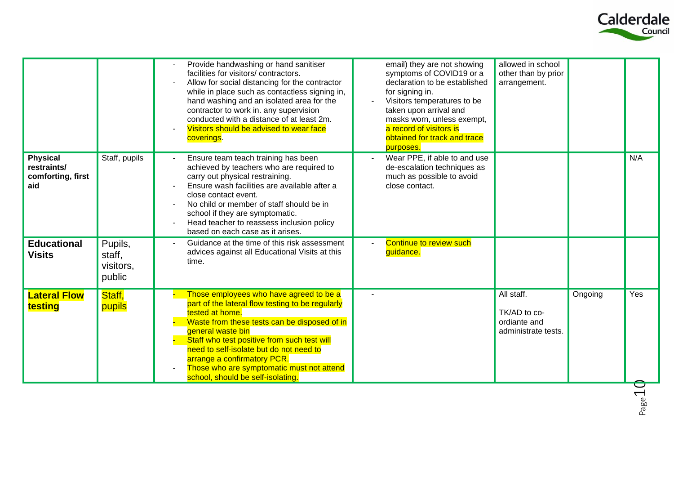

|                                                            |                                          | Provide handwashing or hand sanitiser<br>facilities for visitors/contractors.<br>Allow for social distancing for the contractor<br>while in place such as contactless signing in,<br>hand washing and an isolated area for the<br>contractor to work in. any supervision<br>conducted with a distance of at least 2m.<br>Visitors should be advised to wear face<br>coverings.                 | email) they are not showing<br>symptoms of COVID19 or a<br>declaration to be established<br>for signing in.<br>Visitors temperatures to be<br>taken upon arrival and<br>masks worn, unless exempt,<br>a record of visitors is<br>obtained for track and trace<br>purposes. | allowed in school<br>other than by prior<br>arrangement.          |         |     |
|------------------------------------------------------------|------------------------------------------|------------------------------------------------------------------------------------------------------------------------------------------------------------------------------------------------------------------------------------------------------------------------------------------------------------------------------------------------------------------------------------------------|----------------------------------------------------------------------------------------------------------------------------------------------------------------------------------------------------------------------------------------------------------------------------|-------------------------------------------------------------------|---------|-----|
| <b>Physical</b><br>restraints/<br>comforting, first<br>aid | Staff, pupils                            | Ensure team teach training has been<br>achieved by teachers who are required to<br>carry out physical restraining.<br>Ensure wash facilities are available after a<br>close contact event.<br>No child or member of staff should be in<br>school if they are symptomatic.<br>Head teacher to reassess inclusion policy<br>based on each case as it arises.                                     | Wear PPE, if able to and use<br>de-escalation techniques as<br>much as possible to avoid<br>close contact.                                                                                                                                                                 |                                                                   |         | N/A |
| <b>Educational</b><br><b>Visits</b>                        | Pupils,<br>staff,<br>visitors,<br>public | Guidance at the time of this risk assessment<br>advices against all Educational Visits at this<br>time.                                                                                                                                                                                                                                                                                        | Continue to review such<br>guidance.                                                                                                                                                                                                                                       |                                                                   |         |     |
| <b>Lateral Flow</b><br>testing                             | Staff,<br>pupils                         | Those employees who have agreed to be a<br>part of the lateral flow testing to be regularly<br>tested at home.<br>Waste from these tests can be disposed of in<br>general waste bin<br>Staff who test positive from such test will<br>need to self-isolate but do not need to<br>arrange a confirmatory PCR.<br>Those who are symptomatic must not attend<br>school, should be self-isolating. |                                                                                                                                                                                                                                                                            | All staff.<br>TK/AD to co-<br>ordiante and<br>administrate tests. | Ongoing | Yes |

Page 1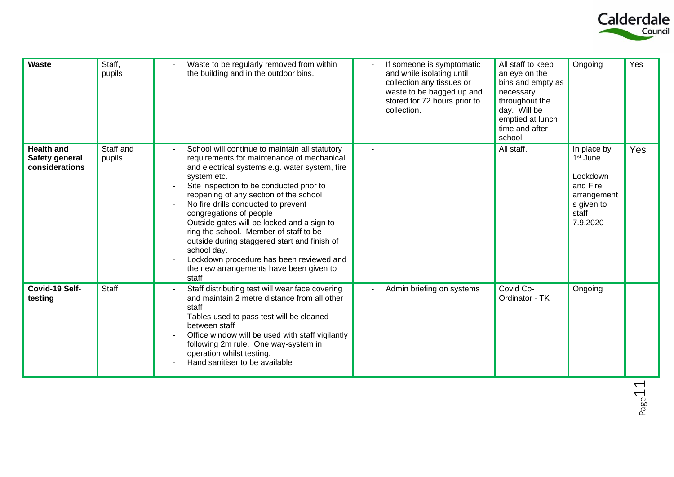

| <b>Waste</b>                                          | Staff,<br>pupils    | Waste to be regularly removed from within<br>the building and in the outdoor bins.                                                                                                                                                                                                                                                                                                                                                                                                                                                                                           | If someone is symptomatic<br>and while isolating until<br>collection any tissues or<br>waste to be bagged up and<br>stored for 72 hours prior to<br>collection. | All staff to keep<br>an eye on the<br>bins and empty as<br>necessary<br>throughout the<br>day. Will be<br>emptied at lunch<br>time and after<br>school. | Ongoing                                                                                                       | Yes |
|-------------------------------------------------------|---------------------|------------------------------------------------------------------------------------------------------------------------------------------------------------------------------------------------------------------------------------------------------------------------------------------------------------------------------------------------------------------------------------------------------------------------------------------------------------------------------------------------------------------------------------------------------------------------------|-----------------------------------------------------------------------------------------------------------------------------------------------------------------|---------------------------------------------------------------------------------------------------------------------------------------------------------|---------------------------------------------------------------------------------------------------------------|-----|
| <b>Health and</b><br>Safety general<br>considerations | Staff and<br>pupils | School will continue to maintain all statutory<br>requirements for maintenance of mechanical<br>and electrical systems e.g. water system, fire<br>system etc.<br>Site inspection to be conducted prior to<br>reopening of any section of the school<br>No fire drills conducted to prevent<br>congregations of people<br>Outside gates will be locked and a sign to<br>ring the school. Member of staff to be<br>outside during staggered start and finish of<br>school day.<br>Lockdown procedure has been reviewed and<br>the new arrangements have been given to<br>staff |                                                                                                                                                                 | All staff.                                                                                                                                              | In place by<br>1 <sup>st</sup> June<br>Lockdown<br>and Fire<br>arrangement<br>s given to<br>staff<br>7.9.2020 | Yes |
| Covid-19 Self-<br>testing                             | Staff               | Staff distributing test will wear face covering<br>and maintain 2 metre distance from all other<br>staff<br>Tables used to pass test will be cleaned<br>between staff<br>Office window will be used with staff vigilantly<br>following 2m rule. One way-system in<br>operation whilst testing.<br>Hand sanitiser to be available                                                                                                                                                                                                                                             | Admin briefing on systems                                                                                                                                       | Covid Co-<br>Ordinator - TK                                                                                                                             | Ongoing                                                                                                       |     |

Page 11